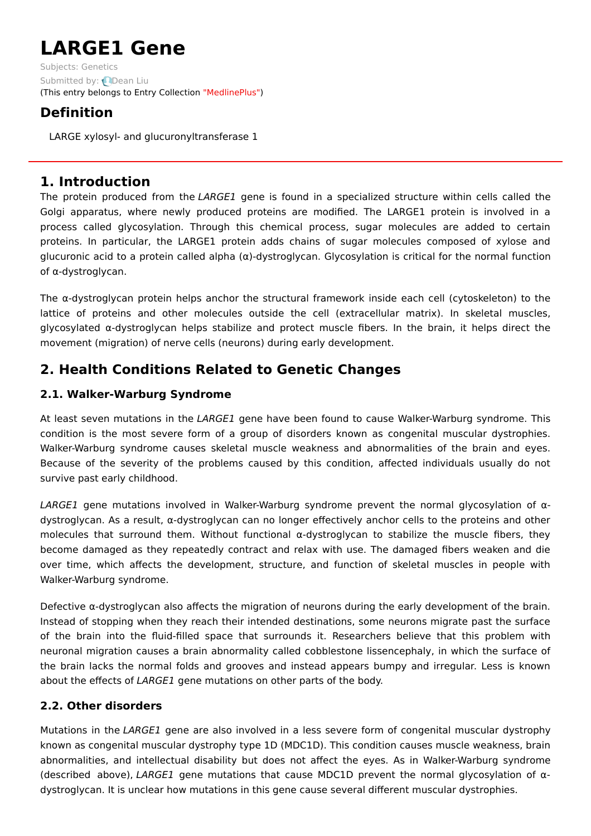# **LARGE1 Gene**

Subjects: [Genetics](https://encyclopedia.pub/item/subject/56) Submitted by: **Q[Dean](https://sciprofiles.com/profile/1156464) Liu** (This entry belongs to Entry Collection ["MedlinePlus"](https://encyclopedia.pub/entry/collection/24))

## **Definition**

LARGE xylosyl- and glucuronyltransferase 1

## **1. Introduction**

The protein produced from the LARGE1 gene is found in a specialized structure within cells called the Golgi apparatus, where newly produced proteins are modified. The LARGE1 protein is involved in a process called glycosylation. Through this chemical process, sugar molecules are added to certain proteins. In particular, the LARGE1 protein adds chains of sugar molecules composed of xylose and glucuronic acid to a protein called alpha (α)-dystroglycan. Glycosylation is critical for the normal function of α-dystroglycan.

The  $\alpha$ -dystroglycan protein helps anchor the structural framework inside each cell (cytoskeleton) to the lattice of proteins and other molecules outside the cell (extracellular matrix). In skeletal muscles, glycosylated α-dystroglycan helps stabilize and protect muscle fibers. In the brain, it helps direct the movement (migration) of nerve cells (neurons) during early development.

# **2. Health Conditions Related to Genetic Changes**

## **2.1. Walker-Warburg Syndrome**

At least seven mutations in the LARGE1 gene have been found to cause Walker-Warburg syndrome. This condition is the most severe form of a group of disorders known as congenital muscular dystrophies. Walker-Warburg syndrome causes skeletal muscle weakness and abnormalities of the brain and eyes. Because of the severity of the problems caused by this condition, affected individuals usually do not survive past early childhood.

LARGE1 gene mutations involved in Walker-Warburg syndrome prevent the normal glycosylation of αdystroglycan. As a result, α-dystroglycan can no longer effectively anchor cells to the proteins and other molecules that surround them. Without functional  $\alpha$ -dystroglycan to stabilize the muscle fibers, they become damaged as they repeatedly contract and relax with use. The damaged fibers weaken and die over time, which affects the development, structure, and function of skeletal muscles in people with Walker-Warburg syndrome.

Defective α-dystroglycan also affects the migration of neurons during the early development of the brain. Instead of stopping when they reach their intended destinations, some neurons migrate past the surface of the brain into the fluid-filled space that surrounds it. Researchers believe that this problem with neuronal migration causes a brain abnormality called cobblestone lissencephaly, in which the surface of the brain lacks the normal folds and grooves and instead appears bumpy and irregular. Less is known about the effects of LARGE1 gene mutations on other parts of the body.

## **2.2. Other disorders**

Mutations in the LARGE1 gene are also involved in a less severe form of congenital muscular dystrophy known as congenital muscular dystrophy type 1D (MDC1D). This condition causes muscle weakness, brain abnormalities, and intellectual disability but does not affect the eyes. As in Walker-Warburg syndrome (described above), LARGE1 gene mutations that cause MDC1D prevent the normal glycosylation of αdystroglycan. It is unclear how mutations in this gene cause several different muscular dystrophies.